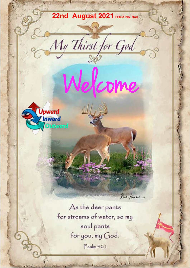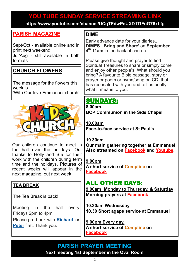# **YOU TUBE SUNDAY SERVICE STREAMING LINK YOU TUBE SUNDAY SERVICE STREAMING LINK**

**[https://www.youtube.com/channel/UCqTPdwPeUXD1TIFuG76xLfg](https://nam12.safelinks.protection.outlook.com/?url=https%3A%2F%2Fwww.youtube.com%2Fchannel%2FUCqTPdwPeUXD1TIFuG76xLfg&data=04%7C01%7C%7C98819de32b254e54143f08d89b609eed%7C84df9e7fe9f640afb435aaaaaaaaaaaa%7C1%7C0%7C637430186562964999%7CUnknown%7CTWFpbGZsb3d8e) <https://www.youtube.com/channel/UCqTPdwPeUXD1TIFuG76xLfg>**

### **[PARISH MAGAZINE](https://www.emmanuelplymouth.co.uk/Publisher/File.aspx?ID=289560)**

Sept/Oct - available online and in print next weekend.

Jul/Aug - still available in both formats

## **CHURCH FLOWERS**

The message for the flowers this week is 'With Our love Emmanuel church'



Our children continue to meet in the hall over the holidays. Our thanks to Holly and Ste for their work with the children during term time and the holidays. Pictures of recent weeks will appear in the next magazine, out next week!

#### **TEA BREAK**

The Tea Break is back!

Meeting in the hall every Fridays 2pm to 4pm

Please pre-book with **[Richard](mailto:richard.584f@gmail.com)** or **[Peter](mailto:skyeye1@sky.com)** first. Thank you.

## **DIME**

Early advance date for your diaries... **DIMES 'Bring and Share'** on **September 4 th 11am** in the back of church.

Please give thought and prayer to find Spiritual Treasures to share or simply come and enjoy other people's. What should you bring? A favourite Bible passage, story or prayer or poem or hymn/song on CD, that has resonated with you and tell us briefly what it means to you.

# SUNDAYS:

**8.00am BCP Communion in the Side Chapel**

**10.00am Face-to-face service at St Paul's** 

#### **10.30am**

**Our main gathering together at Emmanuel Also streamed on [Facebook](https://www.facebook.com/emmanuelwithstpauls/) and [Youtube.](https://www.youtube.com/channel/UCqTPdwPeUXD1TIFuG76xLfg)**

#### **9.00pm**

**A short service of [Compline](https://www.emmanuelplymouth.co.uk/Publisher/File.aspx?ID=259665) on [Facebook](https://www.facebook.com/emmanuelwithstpauls/)**

## ALL OTHER DAYS:

**9.00am Monday to Thursday, & Saturday Morning prayers at [Facebook](https://www.facebook.com/emmanuelwithstpauls/)**

**10.30am Wednesday 10.30 Short agape service at Emmanuel**

**9.00pm Every day, A short service of [Compline](https://www.emmanuelplymouth.co.uk/Publisher/File.aspx?ID=259665) on [Facebook](https://www.facebook.com/emmanuelwithstpauls/)**

### **PARISH PRAYER MEETING Next meeting 1st September in the Oval Room**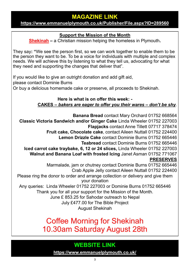## **MAGAZINE LINK**

#### **<https://www.emmanuelplymouth.co.uk/Publisher/File.aspx?ID=289560>**

#### **Support the Mission of the Month**

**[Shekinah](https://www.shekinah.co.uk/) –** a Christian mission helping the homeless in Plymouth**.** 

They say**: "**We see the person first, so we can work together to enable them to be the person they want to be. To be a voice for individuals with multiple and complex needs. We will achieve this by listening to what they tell us, advocating for what they need and supporting the changes that deliver that".

If you would like to give an outright donation and add gift aid, please contact Dominie Burns Or buy a delicious homemade cake or preserve, all proceeds to Shekinah.

> **Here is what is on offer this week: - CAKES –** *bakers are eager to offer you their wares – don't be shy.*

**Banana Bread** contact Mary Orchard 01752 668564 **Classic Victoria Sandwich and/or Ginger Cake** Linda Wheeler 01752 227003 **Flapjacks** contact Anne Tillett 07717 378474 **Fruit cake, Chocolate cake**, contact Aileen Nuttall 01752 224400 **Lemon Drizzle Cake** contact Dominie Burns 01752 665446 **Teabread** contact Dominie Burns 01752 665446 **Iced carrot cake traybake, 6, 12 or 24 slices,** Linda Wheeler 01752 227003 **Walnut and Banana Loaf with frosted Icing** Janet Asman 01752 771067 **PRESERVES** Marmalade, jam or chutney contact Dominie Burns 01752 665446 Crab Apple Jelly contact Aileen Nuttall 01752 224400 Please ring the donor to order and arrange collection or delivery and give them your donation Any queries: Linda Wheeler 01752 227003 or Dominie Burns 01752 665446 Thank you for all your support for the Mission of the Month. June £ 853.25 for Sahodar outreach to Nepal July £477.00 for The Bible Project August Shekinah

> Coffee Morning for Shekinah 10.30am Saturday August 28th

# **WEBSITE LINK**

**<https://www.emmanuelplymouth.co.uk/>**